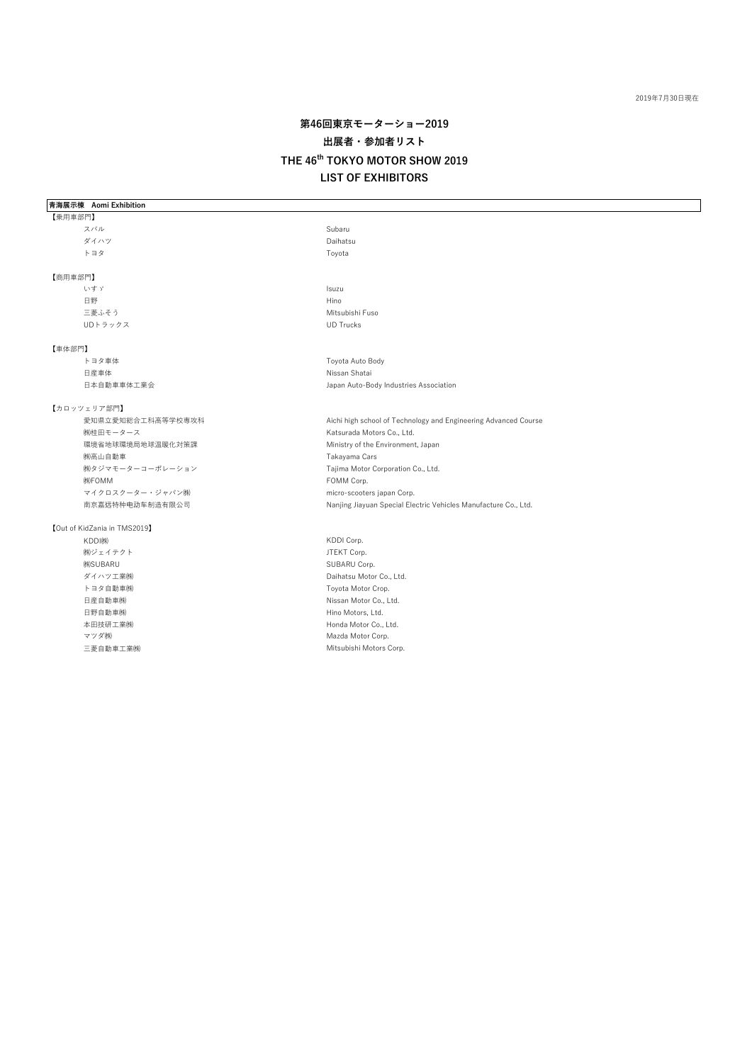#### 2019年7月30日現在

# **第46回東京モーターショー2019 出展者・参加者リスト THE 46th TOKYO MOTOR SHOW 2019 LIST OF EXHIBITORS**

**青海展示棟 Aomi Exhibition**

### 【乗用車部門】 スパル Subaru Subaru Subaru Subaru Subaru Subaru Subaru Subaru Subaru Subaru Subaru Subaru Subaru Subaru Subaru Su ダイハツ Daihatsu トヨタ Toyota おおし しょうしゅん しゅうしょく こうしょうしゅん Toyota 【商用車部門】 いすゞ Isuzu 日野 しょうしょう しゅうしょう しゅうしょう しゅうしょう けいしょう Hino 三菱ふそう しょうしょう しゅうしょう しゅうしょう Mitsubishi Fuso UDトラックス UD Trucks 【車体部門】 トヨタ車体 インディー・エンジェー Toyota Auto Body 日産車体 Nissan Shatai 日本自動車車体工業会 Japan Auto-Body Industries Association 【カロッツェリア部門】 愛知県立愛知総合工科高等学校専攻科 Aichi high school of Technology and Engineering Advanced Course (株)桂田モータース インディング しょうしょう しょうしょう Katsurada Motors Co., Ltd. 環境省地球環境局地球温暖化対策課 Ministry of the Environment, Japan ㈱高山自動車 Takayama Cars ㈱タジマモーターコーポレーション Tajima Motor Corporation Co., Ltd. (株)FOMM Corp. マイクロスクーター・ジャパン㈱ micro-scooters japan Corp. 南京嘉远特种电动车制造有限公司 Nanjing Jiayuan Special Electric Vehicles Manufacture Co., Ltd. 【Out of KidZania in TMS2019】 KDDI㈱ KDDI Corp. (㈱ジェイテクト ファインの) しょうしゃ しょうしゃ リコン リコン リコン リコン リコン リコン しょうしょく 佛SUBARU Corp. 2009年11月20日 10月20日 10月20日 10月20日 10月20日 10月20日 10月20日 10月20日 10月20日 10月20日 10月20日 10月2 ダイハツ工業㈱ Daihatsu Motor Co., Ltd. トヨタ自動車㈱ わたい しょうしょう しょうしょう しょうしょう コール Toyota Motor Crop. 日産自動車㈱ Nissan Motor Co., Ltd. 日野自動車㈱ インファイン インター・コンピューター Hino Motors, Ltd. 本田技研工業㈱ Honda Motor Co., Ltd.

マツダ㈱ Mazda Motor Corp. 三菱自動車工業㈱ Mitsubishi Motors Corp.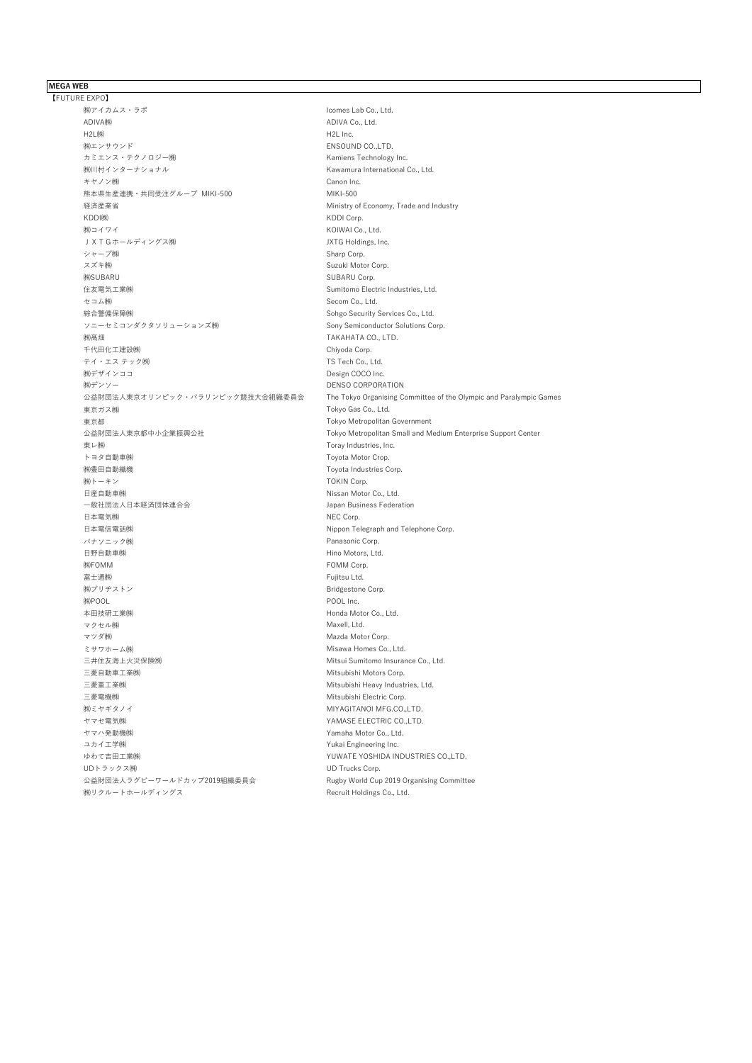### **MEGA WEB**

【FUTURE EXPO】 (㈱アイカムス・ラボ マンディングの) しょうしょう Alcomes Lab Co., Ltd. ADIVA(#) H2L㈱ and the contract of the contract of the contract of the contract of the contract of the contract of the co ㈱エンサウンド ENSOUND CO.,LTD. カミエンス・テクノロジー㈱ Kamiens Technology Inc. ㈱川村インターナショナル Kawamura International Co., Ltd. キヤノン㈱ Canon Inc. 熊本県生産連携・共同受注グループ MIKI-500 MIKI-500 経済産業省 Ministry of Economy, Trade and Industry KDDI㈱ KDDI Corp. (株)コイワイ KOIWAI Co., Ltd. JXTGホールディングス㈱ JXTG Holdings, Inc. シャープ㈱  $\sim$ スズキ㈱ **Suzuki Motor Corp.** (株SUBARU Corp. インタンのサイト)<br>および SUBARU Corp. 住友電気工業㈱ Sumitomo Electric Industries, Ltd. セコム㈱ **Secom Co., Ltd.** 綜合警備保障㈱ Sohgo Security Services Co., Ltd. ソニーセミコンダクタソリューションズ㈱ タイピング Sony Semiconductor Solutions Corp. (納髙畑 ていしょうしょうしょうしょうしょうしょうしょうしょうしょうしょう) おおし TAKAHATA CO., LTD. 千代田化工建設㈱ **Chiyoda Corp.** テイ・エス テック㈱ マンク ファイン しょうしょう しょうしょう TS Tech Co., Ltd. (㈱デザインココ Design COCO Inc. (株)デンソー DENSO CORPORATION 東京ガス㈱ Tokyo Gas Co., Ltd. 東京都 Tokyo Metropolitan Government 東レ㈱ Toray Industries, Inc. トヨタ自動車㈱ わたい しょうしょう しょうしょう しょうしょう Toyota Motor Crop. ㈱豊田自動織機 Toyota Industries Corp. (株)トーキン TOKIN Corp. 日産自動車㈱ マンディング インディー Nissan Motor Co., Ltd. 一般社団法人日本経済団体連合会 Japan Business Federation 日本電気㈱ **NEC Corp.** 日本電信電話㈱ Nippon Telegraph and Telephone Corp. パナソニック㈱ マング Panasonic Corp. 日野自動車㈱ インディング インディング Hino Motors, Ltd. **COMM Corp.** FOMM Corp. 富士通㈱ Fujitsu Ltd. (㈱ブリヂストン Bridgestone Corp. (株)POOL **Inc.** 本田技研工業㈱ Honda Motor Co., Ltd. マクセル㈱ インタイム Maxell, Ltd. マツダ㈱ Mazda Motor Corp. ミサワホーム㈱ Misawa Homes Co., Ltd. 三井住友海上火災保険㈱ Mitsui Sumitomo Insurance Co., Ltd. 三菱自動車工業㈱ Mitsubishi Motors Corp. 三菱重工業㈱ Mitsubishi Heavy Industries, Ltd. 三菱電機㈱ Mitsubishi Electric Corp. (㈱ミヤギタノイ MIYAGITANOI MFG.CO.,LTD. ヤマセ電気㈱ YAMASE ELECTRIC CO.,LTD. ヤマハ発動機㈱ Yamaha Motor Co., Ltd. ユカイ工学㈱ マンピューティー マンピューティー インター Yukai Engineering Inc. ゆわて吉田工業<del>㈱</del><br>YUWATE YOSHIDA INDUSTRIES CO.,LTD. UDトラックス㈱ UD Trucks Corp. 公益財団法人ラグビーワールドカップ2019組織委員会 Rugby World Cup 2019 Organising Committee ㈱リクルートホールディングス Recruit Holdings Co., Ltd.

公益財団法人東京オリンピック・パラリンピック競技大会組織委員会 The Tokyo Organising Committee of the Olympic and Paralympic Games 公益財団法人東京都中小企業振興公社 Tokyo Metropolitan Small and Medium Enterprise Support Center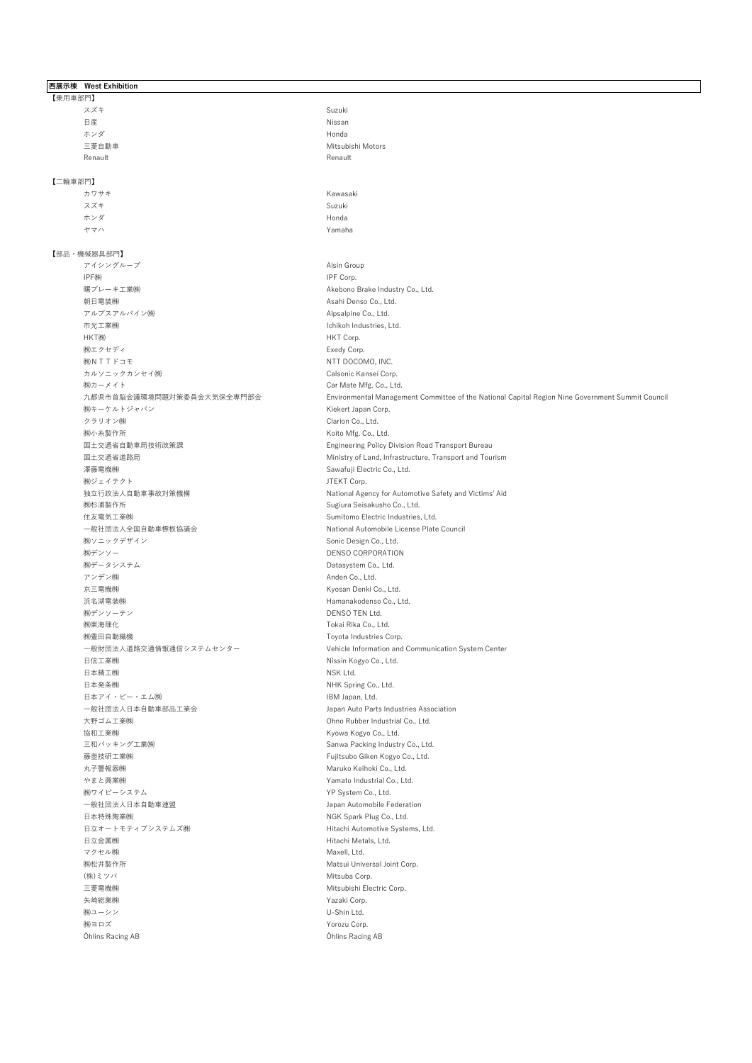### **西展示棟 West Exhibition** 【乗用車部門】 スズキ Suzuki 日産 しょうしょう しょうしょう しょうしょう しょうしょう いちのう Nissan ホンダ Honda 三菱自動車 Mitsubishi Motors Renault **Renault** Renault **Renault** Renault **Renault Renault Renault Renault** 【二輪車部門】 カワサキ Kawasaki スズキ Suzuki ホンダ Honda ヤマハ Yamaha 【部品・機械器具部門】 アイシングループ Aisin Group IPF㈱ IPF Corp. 曙ブレーキ工業㈱ Akebono Brake Industry Co., Ltd. 朝日電装㈱ **Asahi Denso Co., Ltd.** アルプスアルパイン㈱ インフィン しょうしょう しょうしょう Alpsalpine Co., Ltd. 市光工業㈱ Ichikoh Industries, Ltd. HKT㈱ **HKT** Corp. (株)エクセディ しょうしょう しょうしょう しょうしょう しょうしょう Exedy Corp. (株) N T T ドコモ NTT DOCOMO, INC. カルソニックカンセイ㈱ Calsonic Kansei Corp. (株)カーメイト てんしょう しょうしょう Car Mate Mfg. Co., Ltd. (株)キーケルトジャパン インディング インディング Kiekert Japan Corp. クラリオン㈱ インタン Clarion Co., Ltd. (株)小糸製作所 インファイル Koito Mfg. Co., Ltd. 澤藤電機㈱ Sawafuji Electric Co., Ltd. (株)ジェイテクト コンピューティング JTEKT Corp. ㈱杉浦製作所 Sugiura Seisakusho Co., Ltd. 住友電気工業㈱ Sumitomo Electric Industries, Ltd. 一般社団法人全国自動車標板協議会 National Automobile License Plate Council ㈱ソニックデザイン Sonic Design Co., Ltd. (㈱デンソー DENSO CORPORATION ㈱データシステム Datasystem Co., Ltd. アンデン㈱ インパン Anden Co., Ltd. 京三電機㈱ Kyosan Denki Co., Ltd. 浜名湖電装㈱ Hamanakodenso Co., Ltd. ㈱デンソーテン DENSO TEN Ltd. ㈱東海理化 Tokai Rika Co., Ltd. ㈱豊田自動織機 Toyota Industries Corp. 日信工業㈱ Nissin Kogyo Co., Ltd. 日本精工㈱ インディア しょうしょう しょうしょう しょうしょう いっぽん いちょうしょう 日本発条㈱ NHK Spring Co., Ltd. 日本アイ・ビー・エム㈱ IBM Japan, Ltd. 一般社団法人日本自動車部品工業会 Japan Auto Parts Industries Association 大野ゴム工業㈱ Ohno Rubber Industrial Co., Ltd. 協和工業㈱ マンディング Maria Maria Maria Maria Maria Maria Kyowa Kogyo Co., Ltd. 三和パッキング工業㈱ Sanwa Packing Industry Co., Ltd. 藤壺技研工業㈱ Fujitsubo Giken Kogyo Co., Ltd. 丸子警報器㈱ Maruko Keihoki Co., Ltd. やまと興業㈱ Yamato Industrial Co., Ltd. ㈱ワイピーシステム YP System Co., Ltd. 一般社団法人日本自動車連盟 Japan Automobile Federation 日本特殊陶業㈱ NGK Spark Plug Co., Ltd. 日立オートモティブシステムズ㈱ インパン Hitachi Automotive Systems, Ltd. 日立金属㈱ インディング インディング Hitachi Metals, Ltd. マクセル㈱ インタイム Maxell, Ltd. ㈱松井製作所 Matsui Universal Joint Corp. (株)ミツバ Mitsuba Corp. 三菱電機㈱ インディング Mitsubishi Electric Corp. 矢崎総業㈱ Yazaki Corp. (株)ユーシン しょうしょう しょうしょう しょうしゅう しょうしゅうしょう (株)ヨロズ Yorozu Corp. Öhlins Racing AB Öhlins Racing AB

九都県市首脳会議環境問題対策委員会大気保全専門部会 Environmental Management Committee of the National Capital Region Nine Government Summit Council 国土交通省自動車局技術政策課 Engineering Policy Division Road Transport Bureau 国土交通省道路局 Ministry of Land, Infrastructure, Transport and Tourism 独立行政法人自動車事故対策機構 National Agency for Automotive Safety and Victims' Aid 一般財団法人道路交通情報通信システムセンター Vehicle Information and Communication System Center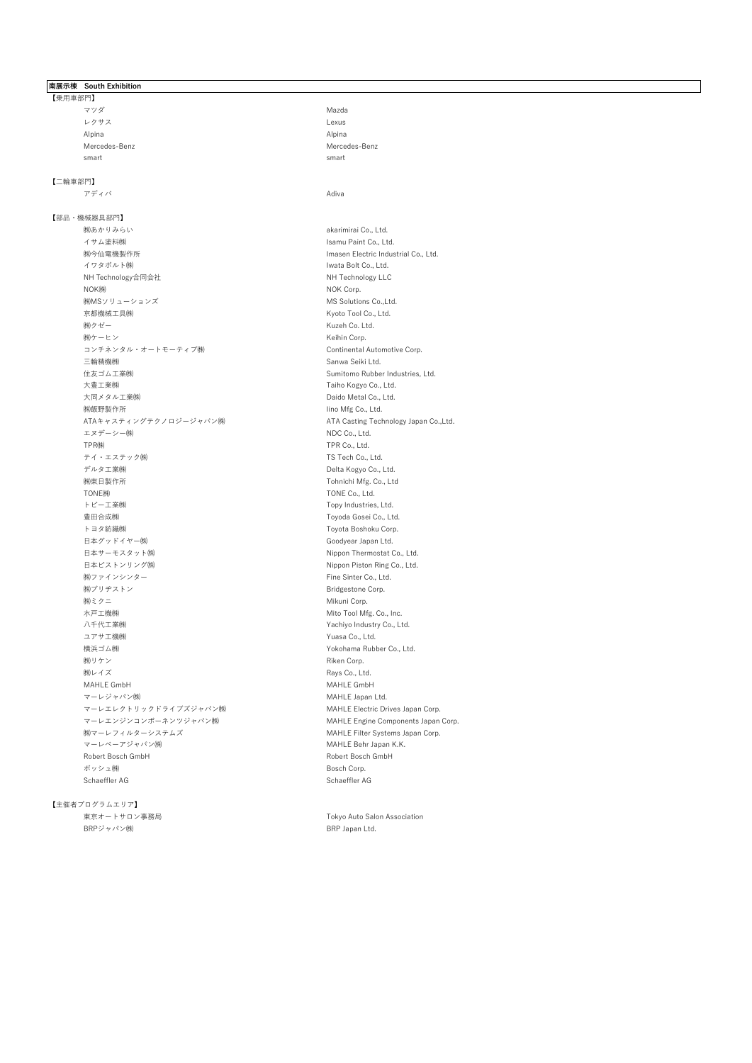## **南展示棟 South Exhibition**

【乗用車部門】 マツダ Mazda レクサス Lexus しょうしょう しんしょう しんしょう しんしょう しんしょう Alpina Alpina Mercedes-Benz Mercedes-Benz smart smart smart smart smart smart smart smart smart smart smart smart smart smart smart smart smart smart s

# 【二輪車部門】

【部品・機械器具部門】 (<mark>)</mark><br>イサム塗料㈱<br>イサム塗料㈱ 。<br>(機会仙電機製作所 インフィング - The Search of Flectric Industrial Co., Ltd. イワタボルト㈱ マンディング Article Sold Co., Ltd. NH Technology合同会社 NH Technology LLC NOK㈱ NOK Corp. ㈱MSソリューションズ MS Solutions Co.,Ltd. 京都機械工具㈱ Kyoto Tool Co., Ltd. (㈱クゼー インパンの) しょうしゃ Kuzeh Co. Ltd. (㈱ケーヒン Keihin Corp. コンチネンタル・オートモーティブ㈱ しゅうしょう Continental Automotive Corp. 三輪精機㈱ マンチン Sanwa Seiki Ltd. 住友ゴム工業㈱ Sumitomo Rubber Industries, Ltd. 大豊工業㈱ マンディング Taiho Kogyo Co., Ltd. 大同メタル工業㈱ Daido Metal Co., Ltd. ㈱飯野製作所 Iino Mfg Co., Ltd. ATAキャスティングテクノロジージャパン㈱ ATA Casting Technology Japan Co.,Ltd. エヌデーシー㈱ インデンスター しょうしょう しょうしょう NDC Co., Ltd. TPR㈱ TPR Co., Ltd. テイ・エステック㈱ ファイン TS Tech Co., Ltd. デルタ工業㈱ Delta Kogyo Co., Ltd. ㈱東日製作所 Tohnichi Mfg. Co., Ltd TONE㈱ TONE Co., Ltd. トピー工業㈱ マンディング しょうしょう しょうしょう しゅうしゅう しゅうしゅん Topy Industries, Ltd. 豊田合成㈱ Toyoda Gosei Co., Ltd. トヨタ紡織㈱ マンファイン Toyota Boshoku Corp. 日本グッドイヤー㈱ Goodyear Japan Ltd. 日本サーモスタット㈱ Nippon Thermostat Co., Ltd. 日本ピストンリング㈱ インパン Nippon Piston Ring Co., Ltd. (株)ファインシンター Fine Sinter Co., Ltd. ㈱ブリヂストン Bridgestone Corp. (㈱ミクニ Mikuni Corp. 水戸工機㈱ Mito Tool Mfg. Co., Inc. 八千代工業㈱ Yachiyo Industry Co., Ltd. ユアサ工機㈱ マンファイン Article かんしゃ アウト Yuasa Co., Ltd. 横浜ゴム㈱ Yokohama Rubber Co., Ltd. (㈱リケン Riken Corp. およびの) しょうしゃ Riken Corp. (株)レイズ Rays Co., Ltd. MAHLE GmbH MAHLE GmbH マーレジャパン㈱ MAHLE Japan Ltd. マーレエレクトリックドライブズジャパン㈱ インパン MAHLE Electric Drives Japan Corp. マーレエンジンコンポーネンツジャパン㈱ ファイン MAHLE Engine Components Japan Corp. ㈱マーレフィルターシステムズ MAHLE Filter Systems Japan Corp. マーレベーアジャパン㈱ MAHLE Behr Japan K.K. Robert Bosch GmbH Robert Bosch GmbH ボッシュ㈱ **Bosch Corp.** Schaeffler AG Schaeffler AG Schaeffler AG Schaeffler AG Schaeffler AG Schaeffler AG Schaeffler AG Schaeffler AG

【主催者プログラムエリア】 東京オートサロン事務局 Tokyo Auto Salon Association BRPジャパン㈱ BRP Japan Ltd.

#### アディバ Adiva

Isamu Paint Co., Ltd.